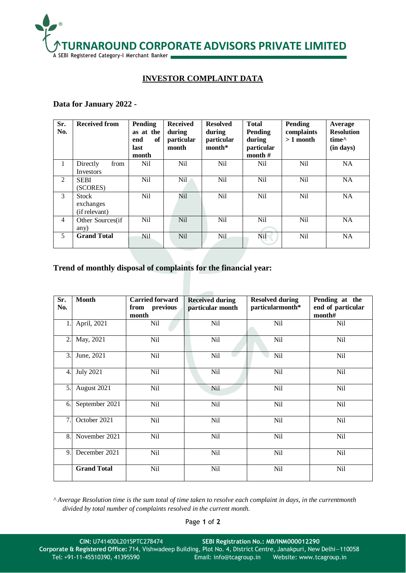

## **INVESTOR COMPLAINT DATA**

## **Data for January 2022 -**

| Sr.<br>No.     | <b>Received from</b>                       | Pending<br>as at the<br>end<br>of<br>last<br>month | <b>Received</b><br>during<br>particular<br>month | <b>Resolved</b><br>during<br>particular<br>$month*$ | <b>Total</b><br>Pending<br>during<br>particular<br>month $#$ | <b>Pending</b><br>complaints<br>$>1$ month | Average<br><b>Resolution</b><br>time <sup><math>\wedge</math></sup><br>(in days) |
|----------------|--------------------------------------------|----------------------------------------------------|--------------------------------------------------|-----------------------------------------------------|--------------------------------------------------------------|--------------------------------------------|----------------------------------------------------------------------------------|
| $\mathbf{1}$   | Directly<br>from<br>Investors              | N <sub>i</sub>                                     | N <sub>il</sub>                                  | <b>Nil</b>                                          | Nil                                                          | Nil                                        | <b>NA</b>                                                                        |
| 2              | <b>SEBI</b><br>(SCORES)                    | <b>Nil</b>                                         | Nil.                                             | Nil                                                 | Nil                                                          | Nil                                        | <b>NA</b>                                                                        |
| 3              | <b>Stock</b><br>exchanges<br>(if relevant) | <b>Nil</b>                                         | Nil                                              | Nil                                                 | <b>Nil</b>                                                   | <b>Nil</b>                                 | <b>NA</b>                                                                        |
| $\overline{4}$ | Other Sources(if<br>any)                   | <b>Nil</b>                                         | <b>Nil</b>                                       | Nil                                                 | <b>Nil</b>                                                   | <b>Nil</b>                                 | <b>NA</b>                                                                        |
| 5              | <b>Grand Total</b>                         | Nil                                                | <b>Nil</b>                                       | N <sub>il</sub>                                     | <b>Nil</b>                                                   | <b>Nil</b>                                 | <b>NA</b>                                                                        |

## **Trend of monthly disposal of complaints for the financial year:**

| Sr.<br>No. | <b>Month</b>       | <b>Carried forward</b><br>from previous<br>month | <b>Received during</b><br>particular month | <b>Resolved during</b><br>particularmonth* | Pending at the<br>end of particular<br>month# |
|------------|--------------------|--------------------------------------------------|--------------------------------------------|--------------------------------------------|-----------------------------------------------|
| 1.         | April, 2021        | Nil                                              | Nil                                        | Nil                                        | Nil                                           |
| 2.         | May, 2021          | Nil                                              | Nil                                        | Nil                                        | Nil                                           |
| 3.         | June, 2021         | Nil                                              | Nil                                        | <b>Nil</b>                                 | Nil                                           |
| 4.         | <b>July 2021</b>   | Nil                                              | Nil                                        | Nil                                        | Nil                                           |
| 5.         | August 2021        | <b>Nil</b>                                       | Nil                                        | Nil                                        | <b>Nil</b>                                    |
| 6.         | September 2021     | Nil                                              | Nil                                        | Nil                                        | Nil                                           |
| 7.         | October 2021       | Nil                                              | <b>Nil</b>                                 | Nil                                        | Nil                                           |
| 8.         | November 2021      | Nil                                              | Nil                                        | Nil                                        | Nil                                           |
| 9.         | December 2021      | Nil                                              | Nil                                        | Nil                                        | Nil                                           |
|            | <b>Grand Total</b> | <b>Nil</b>                                       | Nil                                        | Nil                                        | <b>Nil</b>                                    |

*^ Average Resolution time is the sum total of time taken to resolve each complaint in days, in the currentmonth divided by total number of complaints resolved in the current month.*

Page **1** of **2**